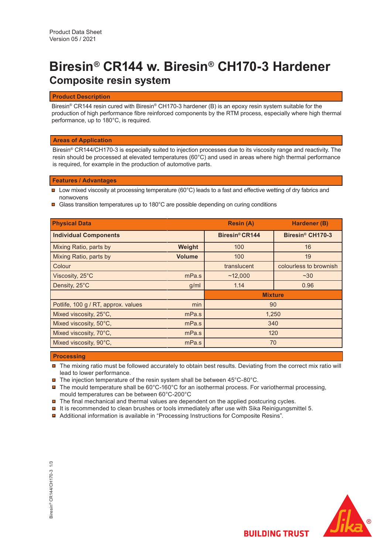# **Biresin® CR144 w. Biresin® CH170-3 Hardener Composite resin system**

## **Product Description**

Biresin® CR144 resin cured with Biresin® CH170-3 hardener (B) is an epoxy resin system suitable for the production of high performance fibre reinforced components by the RTM process, especially where high thermal performance, up to 180°C, is required.

## **Areas of Application**

Biresin® CR144/CH170-3 is especially suited to injection processes due to its viscosity range and reactivity. The resin should be processed at elevated temperatures (60°C) and used in areas where high thermal performance is required, for example in the production of automotive parts.

## **Features / Advantages**

- $\blacksquare$  Low mixed viscosity at processing temperature (60°C) leads to a fast and effective wetting of dry fabrics and nonwovens
- $\blacksquare$  Glass transition temperatures up to 180°C are possible depending on curing conditions

| <b>Physical Data</b>                |               | <b>Resin (A)</b>           | Hardener (B)                 |  |
|-------------------------------------|---------------|----------------------------|------------------------------|--|
| <b>Individual Components</b>        |               | Biresin <sup>®</sup> CR144 | Biresin <sup>®</sup> CH170-3 |  |
| Mixing Ratio, parts by              | Weight        | 100                        | 16                           |  |
| Mixing Ratio, parts by              | <b>Volume</b> | 100                        | 19                           |  |
| Colour                              |               | translucent                | colourless to brownish       |  |
| Viscosity, 25°C                     | mPa.s         | ~12,000                    | $~1$ $~30$                   |  |
| Density, 25°C                       | g/ml          | 1.14                       | 0.96                         |  |
|                                     |               | <b>Mixture</b>             |                              |  |
| Potlife, 100 g / RT, approx. values | min           | 90                         |                              |  |
| Mixed viscosity, 25°C,              | mPa.s         | 1,250                      |                              |  |
| Mixed viscosity, 50°C,              | mPa.s         | 340                        |                              |  |
| Mixed viscosity, 70°C,              | mPa.s         | 120                        |                              |  |
| Mixed viscosity, 90°C,              | mPa.s         | 70                         |                              |  |

## **Processing**

- The mixing ratio must be followed accurately to obtain best results. Deviating from the correct mix ratio will lead to lower performance.
- $\blacksquare$  The injection temperature of the resin system shall be between 45°C-80°C.
- $\blacksquare$  The mould temperature shall be 60°C-160°C for an isothermal process. For variothermal processing, mould temperatures can be between 60°C-200°C
- $\blacksquare$  The final mechanical and thermal values are dependent on the applied postcuring cycles.
- $\blacksquare$  It is recommended to clean brushes or tools immediately after use with Sika Reinigungsmittel 5.
- Additional information is available in "Processing Instructions for Composite Resins".



**BUILDING TRUST**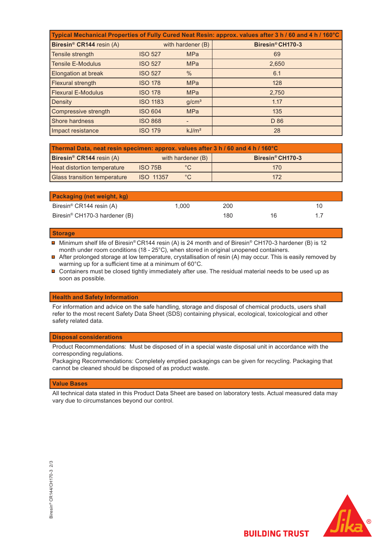| Typical Mechanical Properties of Fully Cured Neat Resin: approx. values after 3 h / 60 and 4 h / 160°C |                   |                   |                  |  |  |  |  |
|--------------------------------------------------------------------------------------------------------|-------------------|-------------------|------------------|--|--|--|--|
| Biresin <sup>®</sup> CR144 resin (A)                                                                   | with hardener (B) |                   | Biresin® CH170-3 |  |  |  |  |
| Tensile strength                                                                                       | <b>ISO 527</b>    | <b>MPa</b>        | 69               |  |  |  |  |
| <b>Tensile E-Modulus</b>                                                                               | <b>ISO 527</b>    | <b>MPa</b>        | 2,650            |  |  |  |  |
| Elongation at break                                                                                    | <b>ISO 527</b>    | $\frac{0}{0}$     | 6.1              |  |  |  |  |
| Flexural strength                                                                                      | <b>ISO 178</b>    | <b>MPa</b>        | 128              |  |  |  |  |
| <b>Flexural E-Modulus</b>                                                                              | <b>ISO 178</b>    | <b>MPa</b>        | 2,750            |  |  |  |  |
| Density                                                                                                | <b>ISO 1183</b>   | g/cm <sup>3</sup> | 1.17             |  |  |  |  |
| Compressive strength                                                                                   | <b>ISO 604</b>    | <b>MPa</b>        | 135              |  |  |  |  |
| Shore hardness                                                                                         | <b>ISO 868</b>    |                   | D 86             |  |  |  |  |
| Impact resistance                                                                                      | <b>ISO 179</b>    | kJ/m <sup>2</sup> | 28               |  |  |  |  |

| Thermal Data, neat resin specimen: approx. values after 3 h / 60 and 4 h / 160°C |                   |               |                              |  |  |  |
|----------------------------------------------------------------------------------|-------------------|---------------|------------------------------|--|--|--|
| <b>Biresin<sup>®</sup> CR144</b> resin (A)                                       | with hardener (B) |               | Biresin <sup>®</sup> CH170-3 |  |  |  |
| <b>Heat distortion temperature</b>                                               | ISO 75B           |               | 170                          |  |  |  |
| <b>Glass transition temperature</b>                                              | ISO 11357         | $^{\circ}$ C. | 172                          |  |  |  |

| <b>Packaging (net weight, kg)</b>         |       |     |    |    |
|-------------------------------------------|-------|-----|----|----|
| Biresin <sup>®</sup> CR144 resin (A)      | 1.000 | 200 |    | 10 |
| Biresin <sup>®</sup> CH170-3 hardener (B) |       | 180 | 16 |    |

#### **Storage**

■ Minimum shelf life of Biresin®CR144 resin (A) is 24 month and of Biresin® CH170-3 hardener (B) is 12  $\,$ month under room conditions (18 - 25°C), when stored in original unopened containers.

- After prolonged storage at low temperature, crystallisation of resin (A) may occur. This is easily removed by warming up for a sufficient time at a minimum of 60°C.
- Containers must be closed tightly immediately after use. The residual material needs to be used up as soon as possible.

#### **Health and Safety Information**

For information and advice on the safe handling, storage and disposal of chemical products, users shall refer to the most recent Safety Data Sheet (SDS) containing physical, ecological, toxicological and other safety related data.

#### **Disposal considerations**

Product Recommendations: Must be disposed of in a special waste disposal unit in accordance with the corresponding regulations.

Packaging Recommendations: Completely emptied packagings can be given for recycling. Packaging that cannot be cleaned should be disposed of as product waste.

#### **Value Bases**

All technical data stated in this Product Data Sheet are based on laboratory tests. Actual measured data may vary due to circumstances beyond our control.





**BUILDING TRUST**